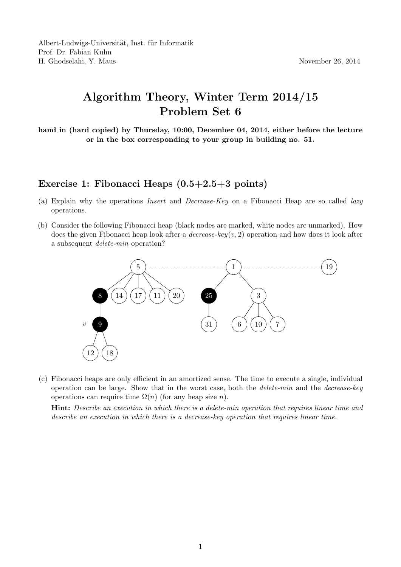## Algorithm Theory, Winter Term 2014/15 Problem Set 6

hand in (hard copied) by Thursday, 10:00, December 04, 2014, either before the lecture or in the box corresponding to your group in building no. 51.

## Exercise 1: Fibonacci Heaps (0.5+2.5+3 points)

- (a) Explain why the operations Insert and Decrease-Key on a Fibonacci Heap are so called lazy operations.
- (b) Consider the following Fibonacci heap (black nodes are marked, white nodes are unmarked). How does the given Fibonacci heap look after a *decrease-key(v, 2)* operation and how does it look after a subsequent delete-min operation?



(c) Fibonacci heaps are only efficient in an amortized sense. The time to execute a single, individual operation can be large. Show that in the worst case, both the *delete-min* and the *decrease-key* operations can require time  $\Omega(n)$  (for any heap size n).

Hint: Describe an execution in which there is a delete-min operation that requires linear time and describe an execution in which there is a decrease-key operation that requires linear time.